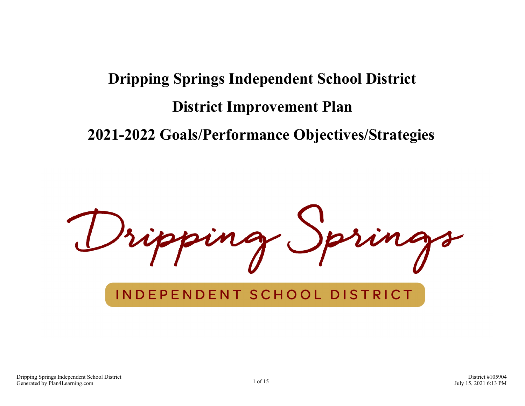# **Dripping Springs Independent School District District Improvement Plan 2021-2022 Goals/Performance Objectives/Strategies**

## INDEPENDENT SCHOOL DISTRICT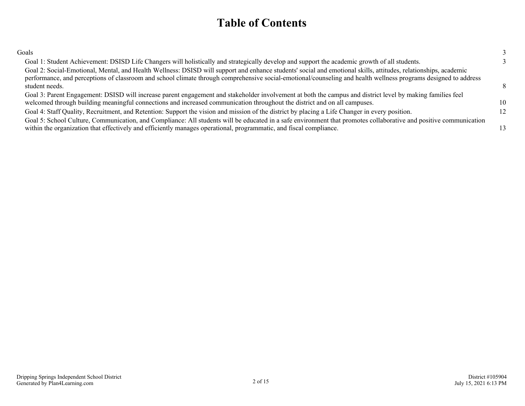### **Table of Contents**

| Goals                                                                                                                                                                                                                                                                                                                              |   |
|------------------------------------------------------------------------------------------------------------------------------------------------------------------------------------------------------------------------------------------------------------------------------------------------------------------------------------|---|
| Goal 1: Student Achievement: DSISD Life Changers will holistically and strategically develop and support the academic growth of all students.                                                                                                                                                                                      |   |
| Goal 2: Social-Emotional, Mental, and Health Wellness: DSISD will support and enhance students' social and emotional skills, attitudes, relationships, academic<br>performance, and perceptions of classroom and school climate through comprehensive social-emotional/counseling and health wellness programs designed to address |   |
| student needs.                                                                                                                                                                                                                                                                                                                     |   |
| Goal 3: Parent Engagement: DSISD will increase parent engagement and stakeholder involvement at both the campus and district level by making families feel                                                                                                                                                                         |   |
| welcomed through building meaningful connections and increased communication throughout the district and on all campuses.                                                                                                                                                                                                          | ю |
| Goal 4: Staff Quality, Recruitment, and Retention: Support the vision and mission of the district by placing a Life Changer in every position.                                                                                                                                                                                     |   |
| Goal 5: School Culture, Communication, and Compliance: All students will be educated in a safe environment that promotes collaborative and positive communication                                                                                                                                                                  |   |
| within the organization that effectively and efficiently manages operational, programmatic, and fiscal compliance.                                                                                                                                                                                                                 |   |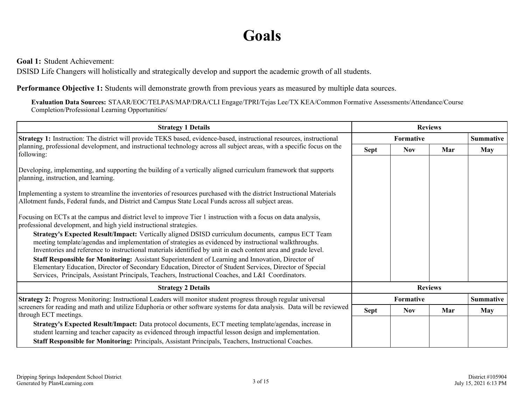# **Goals**

<span id="page-2-0"></span>**Goal 1:** Student Achievement:

DSISD Life Changers will holistically and strategically develop and support the academic growth of all students.

**Performance Objective 1:** Students will demonstrate growth from previous years as measured by multiple data sources.

**Evaluation Data Sources:** STAAR/EOC/TELPAS/MAP/DRA/CLI Engage/TPRI/Tejas Lee/TX KEA/Common Formative Assessments/Attendance/Course Completion/Professional Learning Opportunities/

| <b>Strategy 1 Details</b>                                                                                                                                                                                                                                                                                                                                                                                                                                                                                                                                                                                                                                                                                                                                                                                                                                                                                                                                                                                            | <b>Reviews</b> |                  |                |                  |
|----------------------------------------------------------------------------------------------------------------------------------------------------------------------------------------------------------------------------------------------------------------------------------------------------------------------------------------------------------------------------------------------------------------------------------------------------------------------------------------------------------------------------------------------------------------------------------------------------------------------------------------------------------------------------------------------------------------------------------------------------------------------------------------------------------------------------------------------------------------------------------------------------------------------------------------------------------------------------------------------------------------------|----------------|------------------|----------------|------------------|
| Strategy 1: Instruction: The district will provide TEKS based, evidence-based, instructional resources, instructional                                                                                                                                                                                                                                                                                                                                                                                                                                                                                                                                                                                                                                                                                                                                                                                                                                                                                                | Formative      |                  |                | <b>Summative</b> |
| planning, professional development, and instructional technology across all subject areas, with a specific focus on the<br>following:                                                                                                                                                                                                                                                                                                                                                                                                                                                                                                                                                                                                                                                                                                                                                                                                                                                                                | <b>Sept</b>    | <b>Nov</b>       | Mar            | May              |
| Developing, implementing, and supporting the building of a vertically aligned curriculum framework that supports<br>planning, instruction, and learning.<br>Implementing a system to streamline the inventories of resources purchased with the district Instructional Materials<br>Allotment funds, Federal funds, and District and Campus State Local Funds across all subject areas.<br>Focusing on ECTs at the campus and district level to improve Tier 1 instruction with a focus on data analysis,<br>professional development, and high yield instructional strategies.<br>Strategy's Expected Result/Impact: Vertically aligned DSISD curriculum documents, campus ECT Team<br>meeting template/agendas and implementation of strategies as evidenced by instructional walkthroughs.<br>Inventories and reference to instructional materials identified by unit in each content area and grade level.<br>Staff Responsible for Monitoring: Assistant Superintendent of Learning and Innovation, Director of |                |                  |                |                  |
| Elementary Education, Director of Secondary Education, Director of Student Services, Director of Special<br>Services, Principals, Assistant Principals, Teachers, Instructional Coaches, and L&I Coordinators.                                                                                                                                                                                                                                                                                                                                                                                                                                                                                                                                                                                                                                                                                                                                                                                                       |                |                  |                |                  |
| <b>Strategy 2 Details</b>                                                                                                                                                                                                                                                                                                                                                                                                                                                                                                                                                                                                                                                                                                                                                                                                                                                                                                                                                                                            |                |                  | <b>Reviews</b> |                  |
| Strategy 2: Progress Monitoring: Instructional Leaders will monitor student progress through regular universal                                                                                                                                                                                                                                                                                                                                                                                                                                                                                                                                                                                                                                                                                                                                                                                                                                                                                                       |                | <b>Formative</b> |                | <b>Summative</b> |
| screeners for reading and math and utilize Eduphoria or other software systems for data analysis. Data will be reviewed<br>through ECT meetings.                                                                                                                                                                                                                                                                                                                                                                                                                                                                                                                                                                                                                                                                                                                                                                                                                                                                     | <b>Sept</b>    | <b>Nov</b>       | Mar            | <b>May</b>       |
| Strategy's Expected Result/Impact: Data protocol documents, ECT meeting template/agendas, increase in<br>student learning and teacher capacity as evidenced through impactful lesson design and implementation.<br>Staff Responsible for Monitoring: Principals, Assistant Principals, Teachers, Instructional Coaches.                                                                                                                                                                                                                                                                                                                                                                                                                                                                                                                                                                                                                                                                                              |                |                  |                |                  |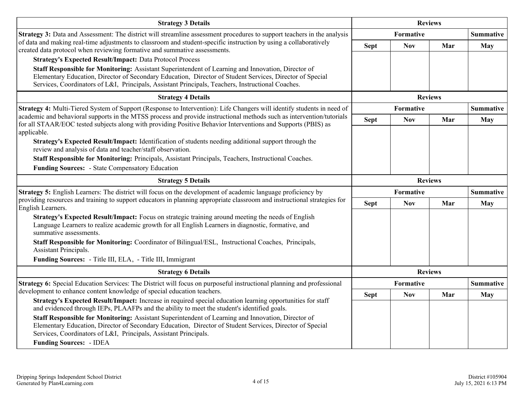| <b>Strategy 3 Details</b>                                                                                                                                                                                                                                                                                           | <b>Reviews</b> |            |                |                  |
|---------------------------------------------------------------------------------------------------------------------------------------------------------------------------------------------------------------------------------------------------------------------------------------------------------------------|----------------|------------|----------------|------------------|
| <b>Strategy 3:</b> Data and Assessment: The district will streamline assessment procedures to support teachers in the analysis                                                                                                                                                                                      |                | Formative  |                | <b>Summative</b> |
| of data and making real-time adjustments to classroom and student-specific instruction by using a collaboratively<br>created data protocol when reviewing formative and summative assessments.                                                                                                                      | <b>Sept</b>    | <b>Nov</b> | Mar            | May              |
| <b>Strategy's Expected Result/Impact: Data Protocol Process</b>                                                                                                                                                                                                                                                     |                |            |                |                  |
| Staff Responsible for Monitoring: Assistant Superintendent of Learning and Innovation, Director of<br>Elementary Education, Director of Secondary Education, Director of Student Services, Director of Special<br>Services, Coordinators of L&I, Principals, Assistant Principals, Teachers, Instructional Coaches. |                |            |                |                  |
| <b>Strategy 4 Details</b>                                                                                                                                                                                                                                                                                           | <b>Reviews</b> |            |                |                  |
| Strategy 4: Multi-Tiered System of Support (Response to Intervention): Life Changers will identify students in need of                                                                                                                                                                                              |                | Formative  |                | <b>Summative</b> |
| academic and behavioral supports in the MTSS process and provide instructional methods such as intervention/tutorials<br>for all STAAR/EOC tested subjects along with providing Positive Behavior Interventions and Supports (PBIS) as                                                                              | <b>Sept</b>    | <b>Nov</b> | Mar            | May              |
| applicable.                                                                                                                                                                                                                                                                                                         |                |            |                |                  |
| Strategy's Expected Result/Impact: Identification of students needing additional support through the<br>review and analysis of data and teacher/staff observation.                                                                                                                                                  |                |            |                |                  |
| Staff Responsible for Monitoring: Principals, Assistant Principals, Teachers, Instructional Coaches.                                                                                                                                                                                                                |                |            |                |                  |
| <b>Funding Sources: - State Compensatory Education</b>                                                                                                                                                                                                                                                              |                |            |                |                  |
| <b>Strategy 5 Details</b>                                                                                                                                                                                                                                                                                           |                |            | <b>Reviews</b> |                  |
| Strategy 5: English Learners: The district will focus on the development of academic language proficiency by                                                                                                                                                                                                        |                | Formative  |                | <b>Summative</b> |
| providing resources and training to support educators in planning appropriate classroom and instructional strategies for<br>English Learners.                                                                                                                                                                       | <b>Sept</b>    | <b>Nov</b> | Mar            | <b>May</b>       |
| Strategy's Expected Result/Impact: Focus on strategic training around meeting the needs of English<br>Language Learners to realize academic growth for all English Learners in diagnostic, formative, and<br>summative assessments.                                                                                 |                |            |                |                  |
| Staff Responsible for Monitoring: Coordinator of Bilingual/ESL, Instructional Coaches, Principals,<br>Assistant Principals.                                                                                                                                                                                         |                |            |                |                  |
| Funding Sources: - Title III, ELA, - Title III, Immigrant                                                                                                                                                                                                                                                           |                |            |                |                  |
| <b>Strategy 6 Details</b>                                                                                                                                                                                                                                                                                           |                |            | <b>Reviews</b> |                  |
| Strategy 6: Special Education Services: The District will focus on purposeful instructional planning and professional                                                                                                                                                                                               |                | Formative  |                | <b>Summative</b> |
| development to enhance content knowledge of special education teachers.                                                                                                                                                                                                                                             | <b>Sept</b>    | <b>Nov</b> | Mar            | <b>May</b>       |
| Strategy's Expected Result/Impact: Increase in required special education learning opportunities for staff<br>and evidenced through IEPs, PLAAFPs and the ability to meet the student's identified goals.                                                                                                           |                |            |                |                  |
| Staff Responsible for Monitoring: Assistant Superintendent of Learning and Innovation, Director of                                                                                                                                                                                                                  |                |            |                |                  |
| Elementary Education, Director of Secondary Education, Director of Student Services, Director of Special<br>Services, Coordinators of L&I, Principals, Assistant Principals.                                                                                                                                        |                |            |                |                  |
| <b>Funding Sources: - IDEA</b>                                                                                                                                                                                                                                                                                      |                |            |                |                  |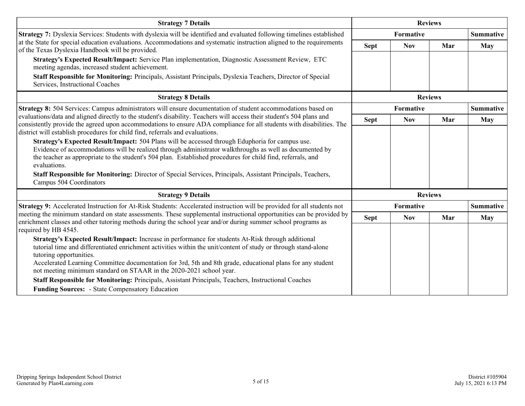| <b>Strategy 7 Details</b>                                                                                                                                                                                                                                                                                                                                                                                                                                                                                                                                                                                                     |                | <b>Reviews</b>   |                |                  |  |
|-------------------------------------------------------------------------------------------------------------------------------------------------------------------------------------------------------------------------------------------------------------------------------------------------------------------------------------------------------------------------------------------------------------------------------------------------------------------------------------------------------------------------------------------------------------------------------------------------------------------------------|----------------|------------------|----------------|------------------|--|
| Strategy 7: Dyslexia Services: Students with dyslexia will be identified and evaluated following timelines established                                                                                                                                                                                                                                                                                                                                                                                                                                                                                                        |                | <b>Formative</b> |                | <b>Summative</b> |  |
| at the State for special education evaluations. Accommodations and systematic instruction aligned to the requirements<br>of the Texas Dyslexia Handbook will be provided.                                                                                                                                                                                                                                                                                                                                                                                                                                                     | <b>Sept</b>    | <b>Nov</b>       | Mar            | <b>May</b>       |  |
| Strategy's Expected Result/Impact: Service Plan implementation, Diagnostic Assessment Review, ETC<br>meeting agendas, increased student achievement.                                                                                                                                                                                                                                                                                                                                                                                                                                                                          |                |                  |                |                  |  |
| Staff Responsible for Monitoring: Principals, Assistant Principals, Dyslexia Teachers, Director of Special<br>Services, Instructional Coaches                                                                                                                                                                                                                                                                                                                                                                                                                                                                                 |                |                  |                |                  |  |
| <b>Strategy 8 Details</b>                                                                                                                                                                                                                                                                                                                                                                                                                                                                                                                                                                                                     | <b>Reviews</b> |                  |                |                  |  |
| Strategy 8: 504 Services: Campus administrators will ensure documentation of student accommodations based on                                                                                                                                                                                                                                                                                                                                                                                                                                                                                                                  |                | <b>Formative</b> |                | <b>Summative</b> |  |
| evaluations/data and aligned directly to the student's disability. Teachers will access their student's 504 plans and<br>consistently provide the agreed upon accommodations to ensure ADA compliance for all students with disabilities. The<br>district will establish procedures for child find, referrals and evaluations.                                                                                                                                                                                                                                                                                                | <b>Sept</b>    | <b>Nov</b>       | Mar            | May              |  |
| Strategy's Expected Result/Impact: 504 Plans will be accessed through Eduphoria for campus use.<br>Evidence of accommodations will be realized through administrator walkthroughs as well as documented by<br>the teacher as appropriate to the student's 504 plan. Established procedures for child find, referrals, and<br>evaluations.<br>Staff Responsible for Monitoring: Director of Special Services, Principals, Assistant Principals, Teachers,<br>Campus 504 Coordinators                                                                                                                                           |                |                  |                |                  |  |
| <b>Strategy 9 Details</b>                                                                                                                                                                                                                                                                                                                                                                                                                                                                                                                                                                                                     |                |                  | <b>Reviews</b> |                  |  |
| Strategy 9: Accelerated Instruction for At-Risk Students: Accelerated instruction will be provided for all students not                                                                                                                                                                                                                                                                                                                                                                                                                                                                                                       |                | <b>Formative</b> |                | <b>Summative</b> |  |
| meeting the minimum standard on state assessments. These supplemental instructional opportunities can be provided by<br>enrichment classes and other tutoring methods during the school year and/or during summer school programs as                                                                                                                                                                                                                                                                                                                                                                                          | <b>Sept</b>    | <b>Nov</b>       | Mar            | May              |  |
| required by HB 4545.<br>Strategy's Expected Result/Impact: Increase in performance for students At-Risk through additional<br>tutorial time and differentiated enrichment activities within the unit/content of study or through stand-alone<br>tutoring opportunities.<br>Accelerated Learning Committee documentation for 3rd, 5th and 8th grade, educational plans for any student<br>not meeting minimum standard on STAAR in the 2020-2021 school year.<br>Staff Responsible for Monitoring: Principals, Assistant Principals, Teachers, Instructional Coaches<br><b>Funding Sources: - State Compensatory Education</b> |                |                  |                |                  |  |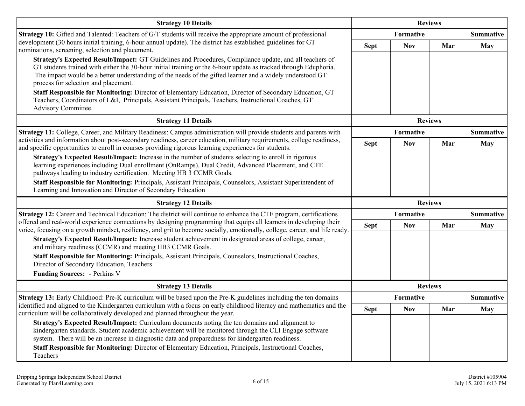| <b>Strategy 10 Details</b>                                                                                                                                                                                                                                                                                                                                                                                                                                                                                                                                                                        | <b>Reviews</b> |            |                  |                  |  |  |                  |
|---------------------------------------------------------------------------------------------------------------------------------------------------------------------------------------------------------------------------------------------------------------------------------------------------------------------------------------------------------------------------------------------------------------------------------------------------------------------------------------------------------------------------------------------------------------------------------------------------|----------------|------------|------------------|------------------|--|--|------------------|
| <b>Strategy 10:</b> Gifted and Talented: Teachers of G/T students will receive the appropriate amount of professional                                                                                                                                                                                                                                                                                                                                                                                                                                                                             |                | Formative  |                  |                  |  |  | <b>Summative</b> |
| development (30 hours initial training, 6-hour annual update). The district has established guidelines for GT<br>nominations, screening, selection and placement.                                                                                                                                                                                                                                                                                                                                                                                                                                 | <b>Sept</b>    | <b>Nov</b> | Mar              | <b>May</b>       |  |  |                  |
| Strategy's Expected Result/Impact: GT Guidelines and Procedures, Compliance update, and all teachers of<br>GT students trained with either the 30-hour initial training or the 6-hour update as tracked through Eduphoria.<br>The impact would be a better understanding of the needs of the gifted learner and a widely understood GT<br>process for selection and placement.<br>Staff Responsible for Monitoring: Director of Elementary Education, Director of Secondary Education, GT<br>Teachers, Coordinators of L&I, Principals, Assistant Principals, Teachers, Instructional Coaches, GT |                |            |                  |                  |  |  |                  |
| Advisory Committee.                                                                                                                                                                                                                                                                                                                                                                                                                                                                                                                                                                               |                |            |                  |                  |  |  |                  |
| <b>Strategy 11 Details</b>                                                                                                                                                                                                                                                                                                                                                                                                                                                                                                                                                                        | <b>Reviews</b> |            |                  |                  |  |  |                  |
| Strategy 11: College, Career, and Military Readiness: Campus administration will provide students and parents with                                                                                                                                                                                                                                                                                                                                                                                                                                                                                | Formative      |            | <b>Summative</b> |                  |  |  |                  |
| activities and information about post-secondary readiness, career education, military requirements, college readiness,<br>and specific opportunities to enroll in courses providing rigorous learning experiences for students.                                                                                                                                                                                                                                                                                                                                                                   | <b>Sept</b>    | <b>Nov</b> | Mar              | <b>May</b>       |  |  |                  |
| Strategy's Expected Result/Impact: Increase in the number of students selecting to enroll in rigorous<br>learning experiences including Dual enrollment (OnRamps), Dual Credit, Advanced Placement, and CTE<br>pathways leading to industry certification. Meeting HB 3 CCMR Goals.                                                                                                                                                                                                                                                                                                               |                |            |                  |                  |  |  |                  |
| Staff Responsible for Monitoring: Principals, Assistant Principals, Counselors, Assistant Superintendent of<br>Learning and Innovation and Director of Secondary Education                                                                                                                                                                                                                                                                                                                                                                                                                        |                |            |                  |                  |  |  |                  |
| <b>Strategy 12 Details</b>                                                                                                                                                                                                                                                                                                                                                                                                                                                                                                                                                                        |                |            | <b>Reviews</b>   |                  |  |  |                  |
| Strategy 12: Career and Technical Education: The district will continue to enhance the CTE program, certifications                                                                                                                                                                                                                                                                                                                                                                                                                                                                                |                | Formative  |                  | <b>Summative</b> |  |  |                  |
| offered and real-world experience connections by designing programming that equips all learners in developing their<br>voice, focusing on a growth mindset, resiliency, and grit to become socially, emotionally, college, career, and life ready.                                                                                                                                                                                                                                                                                                                                                | <b>Sept</b>    | <b>Nov</b> | Mar              | <b>May</b>       |  |  |                  |
| Strategy's Expected Result/Impact: Increase student achievement in designated areas of college, career,<br>and military readiness (CCMR) and meeting HB3 CCMR Goals.<br>Staff Responsible for Monitoring: Principals, Assistant Principals, Counselors, Instructional Coaches,<br>Director of Secondary Education, Teachers<br><b>Funding Sources: - Perkins V</b>                                                                                                                                                                                                                                |                |            |                  |                  |  |  |                  |
| <b>Strategy 13 Details</b>                                                                                                                                                                                                                                                                                                                                                                                                                                                                                                                                                                        |                |            | <b>Reviews</b>   |                  |  |  |                  |
| Strategy 13: Early Childhood: Pre-K curriculum will be based upon the Pre-K guidelines including the ten domains                                                                                                                                                                                                                                                                                                                                                                                                                                                                                  |                | Formative  |                  | <b>Summative</b> |  |  |                  |
| identified and aligned to the Kindergarten curriculum with a focus on early childhood literacy and mathematics and the<br>curriculum will be collaboratively developed and planned throughout the year.                                                                                                                                                                                                                                                                                                                                                                                           | <b>Sept</b>    | <b>Nov</b> | Mar              | <b>May</b>       |  |  |                  |
| Strategy's Expected Result/Impact: Curriculum documents noting the ten domains and alignment to<br>kindergarten standards. Student academic achievement will be monitored through the CLI Engage software<br>system. There will be an increase in diagnostic data and preparedness for kindergarten readiness.                                                                                                                                                                                                                                                                                    |                |            |                  |                  |  |  |                  |
| Staff Responsible for Monitoring: Director of Elementary Education, Principals, Instructional Coaches,<br>Teachers                                                                                                                                                                                                                                                                                                                                                                                                                                                                                |                |            |                  |                  |  |  |                  |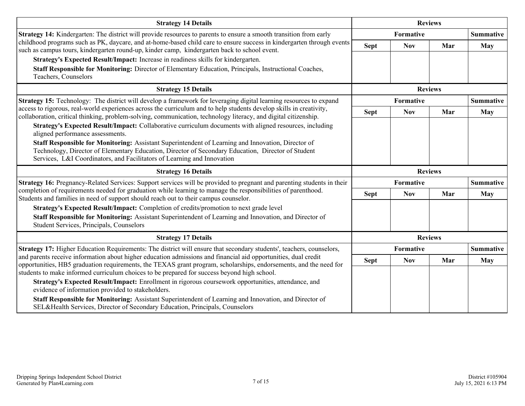| <b>Strategy 14 Details</b>                                                                                                                                                                                                                                                                                                         | <b>Reviews</b> |                                      |                |                  |  |
|------------------------------------------------------------------------------------------------------------------------------------------------------------------------------------------------------------------------------------------------------------------------------------------------------------------------------------|----------------|--------------------------------------|----------------|------------------|--|
| Strategy 14: Kindergarten: The district will provide resources to parents to ensure a smooth transition from early                                                                                                                                                                                                                 |                | <b>Formative</b><br><b>Summative</b> |                |                  |  |
| childhood programs such as PK, daycare, and at-home-based child care to ensure success in kindergarten through events<br>such as campus tours, kindergarten round-up, kinder camp, kindergarten back to school event.                                                                                                              | <b>Sept</b>    | <b>Nov</b>                           | Mar            | May              |  |
| Strategy's Expected Result/Impact: Increase in readiness skills for kindergarten.                                                                                                                                                                                                                                                  |                |                                      |                |                  |  |
| Staff Responsible for Monitoring: Director of Elementary Education, Principals, Instructional Coaches,<br>Teachers, Counselors                                                                                                                                                                                                     |                |                                      |                |                  |  |
| <b>Strategy 15 Details</b>                                                                                                                                                                                                                                                                                                         | <b>Reviews</b> |                                      |                |                  |  |
| Strategy 15: Technology: The district will develop a framework for leveraging digital learning resources to expand                                                                                                                                                                                                                 |                | <b>Formative</b>                     |                | <b>Summative</b> |  |
| access to rigorous, real-world experiences across the curriculum and to help students develop skills in creativity,<br>collaboration, critical thinking, problem-solving, communication, technology literacy, and digital citizenship.                                                                                             | <b>Sept</b>    | <b>Nov</b>                           | Mar            | <b>May</b>       |  |
| Strategy's Expected Result/Impact: Collaborative curriculum documents with aligned resources, including<br>aligned performance assessments.                                                                                                                                                                                        |                |                                      |                |                  |  |
| Staff Responsible for Monitoring: Assistant Superintendent of Learning and Innovation, Director of<br>Technology, Director of Elementary Education, Director of Secondary Education, Director of Student<br>Services, L&I Coordinators, and Facilitators of Learning and Innovation                                                |                |                                      |                |                  |  |
| <b>Strategy 16 Details</b>                                                                                                                                                                                                                                                                                                         |                |                                      | <b>Reviews</b> |                  |  |
| Strategy 16: Pregnancy-Related Services: Support services will be provided to pregnant and parenting students in their                                                                                                                                                                                                             |                | <b>Formative</b>                     |                | <b>Summative</b> |  |
| completion of requirements needed for graduation while learning to manage the responsibilities of parenthood.<br>Students and families in need of support should reach out to their campus counselor.                                                                                                                              | <b>Sept</b>    | <b>Nov</b>                           | Mar            | May              |  |
| Strategy's Expected Result/Impact: Completion of credits/promotion to next grade level                                                                                                                                                                                                                                             |                |                                      |                |                  |  |
| Staff Responsible for Monitoring: Assistant Superintendent of Learning and Innovation, and Director of<br>Student Services, Principals, Counselors                                                                                                                                                                                 |                |                                      |                |                  |  |
|                                                                                                                                                                                                                                                                                                                                    | <b>Reviews</b> |                                      |                |                  |  |
| <b>Strategy 17 Details</b>                                                                                                                                                                                                                                                                                                         |                |                                      |                |                  |  |
| Strategy 17: Higher Education Requirements: The district will ensure that secondary students', teachers, counselors,                                                                                                                                                                                                               |                | Formative                            |                | <b>Summative</b> |  |
| and parents receive information about higher education admissions and financial aid opportunities, dual credit<br>opportunities, HB5 graduation requirements, the TEXAS grant program, scholarships, endorsements, and the need for<br>students to make informed curriculum choices to be prepared for success beyond high school. | <b>Sept</b>    | <b>Nov</b>                           | Mar            | May              |  |
| Strategy's Expected Result/Impact: Enrollment in rigorous coursework opportunities, attendance, and<br>evidence of information provided to stakeholders.                                                                                                                                                                           |                |                                      |                |                  |  |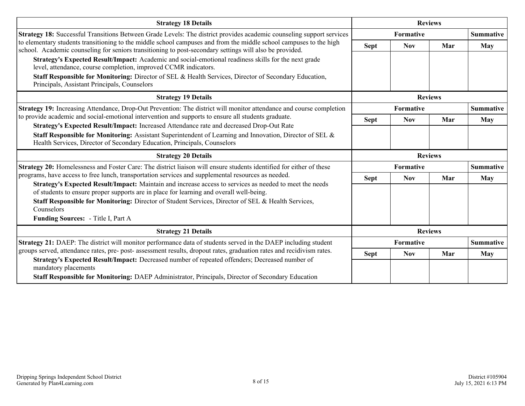| <b>Strategy 18 Details</b>                                                                                                                                                                                                                                                                                                                           |                | <b>Reviews</b>   |                |                  |
|------------------------------------------------------------------------------------------------------------------------------------------------------------------------------------------------------------------------------------------------------------------------------------------------------------------------------------------------------|----------------|------------------|----------------|------------------|
| <b>Strategy 18:</b> Successful Transitions Between Grade Levels: The district provides academic counseling support services                                                                                                                                                                                                                          |                | <b>Formative</b> |                |                  |
| to elementary students transitioning to the middle school campuses and from the middle school campuses to the high<br>school. Academic counseling for seniors transitioning to post-secondary settings will also be provided.                                                                                                                        | <b>Sept</b>    | <b>Nov</b>       | Mar            | May              |
| Strategy's Expected Result/Impact: Academic and social-emotional readiness skills for the next grade<br>level, attendance, course completion, improved CCMR indicators.                                                                                                                                                                              |                |                  |                |                  |
| Staff Responsible for Monitoring: Director of SEL & Health Services, Director of Secondary Education,<br>Principals, Assistant Principals, Counselors                                                                                                                                                                                                |                |                  |                |                  |
| <b>Strategy 19 Details</b>                                                                                                                                                                                                                                                                                                                           | <b>Reviews</b> |                  |                |                  |
| Strategy 19: Increasing Attendance, Drop-Out Prevention: The district will monitor attendance and course completion                                                                                                                                                                                                                                  |                | <b>Formative</b> |                | <b>Summative</b> |
| to provide academic and social-emotional intervention and supports to ensure all students graduate.                                                                                                                                                                                                                                                  | <b>Sept</b>    | <b>Nov</b>       | Mar            | May              |
| Strategy's Expected Result/Impact: Increased Attendance rate and decreased Drop-Out Rate<br>Staff Responsible for Monitoring: Assistant Superintendent of Learning and Innovation, Director of SEL &<br>Health Services, Director of Secondary Education, Principals, Counselors                                                                     |                |                  |                |                  |
|                                                                                                                                                                                                                                                                                                                                                      |                |                  |                |                  |
| <b>Strategy 20 Details</b>                                                                                                                                                                                                                                                                                                                           |                |                  | <b>Reviews</b> |                  |
| Strategy 20: Homelessness and Foster Care: The district liaison will ensure students identified for either of these                                                                                                                                                                                                                                  |                | <b>Formative</b> |                | <b>Summative</b> |
| programs, have access to free lunch, transportation services and supplemental resources as needed.                                                                                                                                                                                                                                                   | <b>Sept</b>    | <b>Nov</b>       | Mar            | May              |
| Strategy's Expected Result/Impact: Maintain and increase access to services as needed to meet the needs<br>of students to ensure proper supports are in place for learning and overall well-being.<br>Staff Responsible for Monitoring: Director of Student Services, Director of SEL & Health Services,<br>Counselors                               |                |                  |                |                  |
| Funding Sources: - Title I, Part A                                                                                                                                                                                                                                                                                                                   |                |                  |                |                  |
| <b>Strategy 21 Details</b>                                                                                                                                                                                                                                                                                                                           |                |                  | <b>Reviews</b> |                  |
| Strategy 21: DAEP: The district will monitor performance data of students served in the DAEP including student                                                                                                                                                                                                                                       |                | <b>Formative</b> |                | <b>Summative</b> |
| groups served, attendance rates, pre- post- assessment results, dropout rates, graduation rates and recidivism rates.<br>Strategy's Expected Result/Impact: Decreased number of repeated offenders; Decreased number of<br>mandatory placements<br>Staff Responsible for Monitoring: DAEP Administrator, Principals, Director of Secondary Education | <b>Sept</b>    | <b>Nov</b>       | Mar            | <b>May</b>       |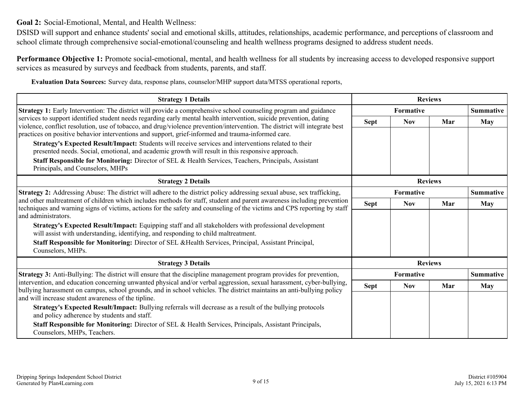<span id="page-8-0"></span>**Goal 2:** Social-Emotional, Mental, and Health Wellness:

DSISD will support and enhance students' social and emotional skills, attitudes, relationships, academic performance, and perceptions of classroom and school climate through comprehensive social-emotional/counseling and health wellness programs designed to address student needs.

**Performance Objective 1:** Promote social-emotional, mental, and health wellness for all students by increasing access to developed responsive support services as measured by surveys and feedback from students, parents, and staff.

**Evaluation Data Sources:** Survey data, response plans, counselor/MHP support data/MTSS operational reports,

| <b>Strategy 1 Details</b>                                                                                                                                                                                                                                                 |                  | <b>Reviews</b>   |                |                  |  |  |
|---------------------------------------------------------------------------------------------------------------------------------------------------------------------------------------------------------------------------------------------------------------------------|------------------|------------------|----------------|------------------|--|--|
| Strategy 1: Early Intervention: The district will provide a comprehensive school counseling program and guidance                                                                                                                                                          |                  | <b>Formative</b> |                | <b>Summative</b> |  |  |
| services to support identified student needs regarding early mental health intervention, suicide prevention, dating<br>violence, conflict resolution, use of tobacco, and drug/violence prevention/intervention. The district will integrate best                         | Sept             | <b>Nov</b>       | Mar            | May              |  |  |
| practices on positive behavior interventions and support, grief-informed and trauma-informed care.                                                                                                                                                                        |                  |                  |                |                  |  |  |
| Strategy's Expected Result/Impact: Students will receive services and interventions related to their<br>presented needs. Social, emotional, and academic growth will result in this responsive approach.                                                                  |                  |                  |                |                  |  |  |
| Staff Responsible for Monitoring: Director of SEL & Health Services, Teachers, Principals, Assistant<br>Principals, and Counselors, MHPs                                                                                                                                  |                  |                  |                |                  |  |  |
| <b>Strategy 2 Details</b>                                                                                                                                                                                                                                                 | <b>Reviews</b>   |                  |                |                  |  |  |
| Strategy 2: Addressing Abuse: The district will adhere to the district policy addressing sexual abuse, sex trafficking,                                                                                                                                                   | <b>Formative</b> |                  |                | <b>Summative</b> |  |  |
| and other maltreatment of children which includes methods for staff, student and parent awareness including prevention<br>techniques and warning signs of victims, actions for the safety and counseling of the victims and CPS reporting by staff<br>and administrators. | Sept             | <b>Nov</b>       | Mar            | <b>May</b>       |  |  |
| Strategy's Expected Result/Impact: Equipping staff and all stakeholders with professional development<br>will assist with understanding, identifying, and responding to child maltreatment.                                                                               |                  |                  |                |                  |  |  |
| Staff Responsible for Monitoring: Director of SEL & Health Services, Principal, Assistant Principal,<br>Counselors, MHPs.                                                                                                                                                 |                  |                  |                |                  |  |  |
| <b>Strategy 3 Details</b>                                                                                                                                                                                                                                                 |                  |                  | <b>Reviews</b> |                  |  |  |
| <b>Strategy 3:</b> Anti-Bullying: The district will ensure that the discipline management program provides for prevention,                                                                                                                                                | <b>Formative</b> |                  |                | <b>Summative</b> |  |  |
| intervention, and education concerning unwanted physical and/or verbal aggression, sexual harassment, cyber-bullying,<br>bullying harassment on campus, school grounds, and in school vehicles. The district maintains an anti-bullying policy                            | <b>Sept</b>      | <b>Nov</b>       | Mar            | <b>May</b>       |  |  |
| and will increase student awareness of the tipline.                                                                                                                                                                                                                       |                  |                  |                |                  |  |  |
| Strategy's Expected Result/Impact: Bullying referrals will decrease as a result of the bullying protocols<br>and policy adherence by students and staff.                                                                                                                  |                  |                  |                |                  |  |  |
| Staff Responsible for Monitoring: Director of SEL & Health Services, Principals, Assistant Principals,<br>Counselors, MHPs, Teachers.                                                                                                                                     |                  |                  |                |                  |  |  |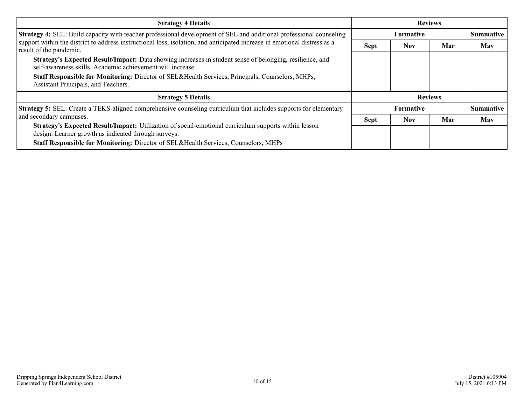| <b>Strategy 4 Details</b>                                                                                                                                              | <b>Reviews</b> |                  |     |                  |
|------------------------------------------------------------------------------------------------------------------------------------------------------------------------|----------------|------------------|-----|------------------|
| Strategy 4: SEL: Build capacity with teacher professional development of SEL and additional professional counseling                                                    |                | <b>Formative</b> |     | <b>Summative</b> |
| support within the district to address instructional loss, isolation, and anticipated increase in emotional distress as a<br>result of the pandemic.                   | <b>Sept</b>    | <b>Nov</b>       | Mar | May              |
| Strategy's Expected Result/Impact: Data showing increases in student sense of belonging, resilience, and<br>self-awareness skills. Academic achievement will increase. |                |                  |     |                  |
| <b>Staff Responsible for Monitoring:</b> Director of SEL&Health Services, Principals, Counselors, MHPs,<br>Assistant Principals, and Teachers.                         |                |                  |     |                  |
| <b>Strategy 5 Details</b>                                                                                                                                              | <b>Reviews</b> |                  |     |                  |
| <b>Strategy 5:</b> SEL: Create a TEKS-aligned comprehensive counseling curriculum that includes supports for elementary                                                |                | <b>Formative</b> |     | <b>Summative</b> |
| and secondary campuses.                                                                                                                                                | <b>Sept</b>    | Nov.             | Mar | May              |
| <b>Strategy's Expected Result/Impact:</b> Utilization of social-emotional curriculum supports within lesson<br>design. Learner growth as indicated through surveys.    |                |                  |     |                  |
| Staff Responsible for Monitoring: Director of SEL&Health Services, Counselors, MHPs                                                                                    |                |                  |     |                  |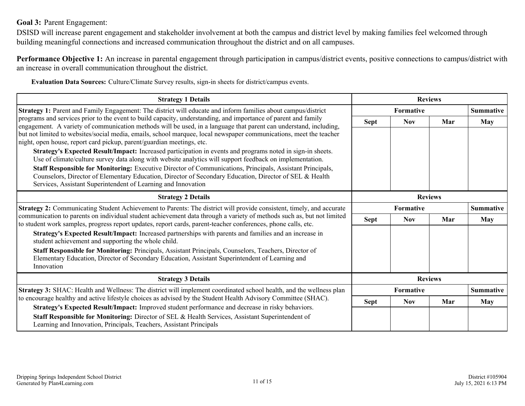### <span id="page-10-0"></span>**Goal 3:** Parent Engagement:

DSISD will increase parent engagement and stakeholder involvement at both the campus and district level by making families feel welcomed through building meaningful connections and increased communication throughout the district and on all campuses.

**Performance Objective 1:** An increase in parental engagement through participation in campus/district events, positive connections to campus/district with an increase in overall communication throughout the district.

**Evaluation Data Sources:** Culture/Climate Survey results, sign-in sheets for district/campus events.

| <b>Strategy 1 Details</b>                                                                                                                                                                                                                                                                                                                                                                                                          | <b>Reviews</b> |            |                  |                  |
|------------------------------------------------------------------------------------------------------------------------------------------------------------------------------------------------------------------------------------------------------------------------------------------------------------------------------------------------------------------------------------------------------------------------------------|----------------|------------|------------------|------------------|
| <b>Strategy 1:</b> Parent and Family Engagement: The district will educate and inform families about campus/district                                                                                                                                                                                                                                                                                                               | Formative      |            |                  | <b>Summative</b> |
| programs and services prior to the event to build capacity, understanding, and importance of parent and family<br>engagement. A variety of communication methods will be used, in a language that parent can understand, including,<br>but not limited to websites/social media, emails, school marquee, local newspaper communications, meet the teacher<br>night, open house, report card pickup, parent/guardian meetings, etc. | <b>Sept</b>    | <b>Nov</b> | Mar              | <b>May</b>       |
| Strategy's Expected Result/Impact: Increased participation in events and programs noted in sign-in sheets.<br>Use of climate/culture survey data along with website analytics will support feedback on implementation.                                                                                                                                                                                                             |                |            |                  |                  |
| Staff Responsible for Monitoring: Executive Director of Communications, Principals, Assistant Principals,<br>Counselors, Director of Elementary Education, Director of Secondary Education, Director of SEL & Health<br>Services, Assistant Superintendent of Learning and Innovation                                                                                                                                              |                |            |                  |                  |
| <b>Strategy 2 Details</b>                                                                                                                                                                                                                                                                                                                                                                                                          | <b>Reviews</b> |            |                  |                  |
| Strategy 2: Communicating Student Achievement to Parents: The district will provide consistent, timely, and accurate                                                                                                                                                                                                                                                                                                               | Formative      |            | <b>Summative</b> |                  |
| communication to parents on individual student achievement data through a variety of methods such as, but not limited<br>to student work samples, progress report updates, report cards, parent-teacher conferences, phone calls, etc.                                                                                                                                                                                             | <b>Sept</b>    | <b>Nov</b> | Mar              | <b>May</b>       |
| Strategy's Expected Result/Impact: Increased partnerships with parents and families and an increase in<br>student achievement and supporting the whole child.                                                                                                                                                                                                                                                                      |                |            |                  |                  |
| Staff Responsible for Monitoring: Principals, Assistant Principals, Counselors, Teachers, Director of<br>Elementary Education, Director of Secondary Education, Assistant Superintendent of Learning and<br>Innovation                                                                                                                                                                                                             |                |            |                  |                  |
| <b>Strategy 3 Details</b>                                                                                                                                                                                                                                                                                                                                                                                                          |                |            | <b>Reviews</b>   |                  |
| Strategy 3: SHAC: Health and Wellness: The district will implement coordinated school health, and the wellness plan                                                                                                                                                                                                                                                                                                                |                | Formative  |                  | <b>Summative</b> |
| to encourage healthy and active lifestyle choices as advised by the Student Health Advisory Committee (SHAC).                                                                                                                                                                                                                                                                                                                      | <b>Sept</b>    | Nov.       | Mar              | May              |
| Strategy's Expected Result/Impact: Improved student performance and decrease in risky behaviors.<br>Staff Responsible for Monitoring: Director of SEL & Health Services, Assistant Superintendent of                                                                                                                                                                                                                               |                |            |                  |                  |
| Learning and Innovation, Principals, Teachers, Assistant Principals                                                                                                                                                                                                                                                                                                                                                                |                |            |                  |                  |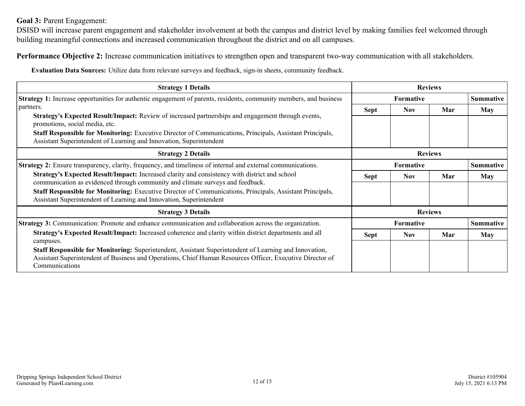### **Goal 3:** Parent Engagement:

DSISD will increase parent engagement and stakeholder involvement at both the campus and district level by making families feel welcomed through building meaningful connections and increased communication throughout the district and on all campuses.

**Performance Objective 2:** Increase communication initiatives to strengthen open and transparent two-way communication with all stakeholders.

**Evaluation Data Sources:** Utilize data from relevant surveys and feedback, sign-in sheets, community feedback.

| <b>Strategy 1 Details</b>                                                                                                                                                                                                             | <b>Reviews</b>   |                  |                |                  |
|---------------------------------------------------------------------------------------------------------------------------------------------------------------------------------------------------------------------------------------|------------------|------------------|----------------|------------------|
| <b>Strategy 1:</b> Increase opportunities for authentic engagement of parents, residents, community members, and business                                                                                                             |                  | <b>Formative</b> |                |                  |
| partners.<br>Strategy's Expected Result/Impact: Review of increased partnerships and engagement through events,                                                                                                                       | Sept             | Nov              | Mar            | May              |
| promotions, social media, etc.                                                                                                                                                                                                        |                  |                  |                |                  |
| Staff Responsible for Monitoring: Executive Director of Communications, Principals, Assistant Principals,<br>Assistant Superintendent of Learning and Innovation, Superintendent                                                      |                  |                  |                |                  |
| <b>Strategy 2 Details</b>                                                                                                                                                                                                             | <b>Reviews</b>   |                  |                |                  |
| <b>Strategy 2:</b> Ensure transparency, clarity, frequency, and timeliness of internal and external communications.                                                                                                                   | <b>Formative</b> |                  |                | <b>Summative</b> |
| Strategy's Expected Result/Impact: Increased clarity and consistency with district and school<br>communication as evidenced through community and climate surveys and feedback.                                                       | <b>Sept</b>      | <b>Nov</b>       | Mar            | <b>May</b>       |
| <b>Staff Responsible for Monitoring:</b> Executive Director of Communications, Principals, Assistant Principals,<br>Assistant Superintendent of Learning and Innovation, Superintendent                                               |                  |                  |                |                  |
| <b>Strategy 3 Details</b>                                                                                                                                                                                                             |                  |                  | <b>Reviews</b> |                  |
| <b>Strategy 3:</b> Communication: Promote and enhance communication and collaboration across the organization.                                                                                                                        |                  | <b>Formative</b> |                | <b>Summative</b> |
| Strategy's Expected Result/Impact: Increased coherence and clarity within district departments and all<br>campuses.                                                                                                                   | <b>Sept</b>      | <b>Nov</b>       | Mar            | <b>May</b>       |
| Staff Responsible for Monitoring: Superintendent, Assistant Superintendent of Learning and Innovation,<br>Assistant Superintendent of Business and Operations, Chief Human Resources Officer, Executive Director of<br>Communications |                  |                  |                |                  |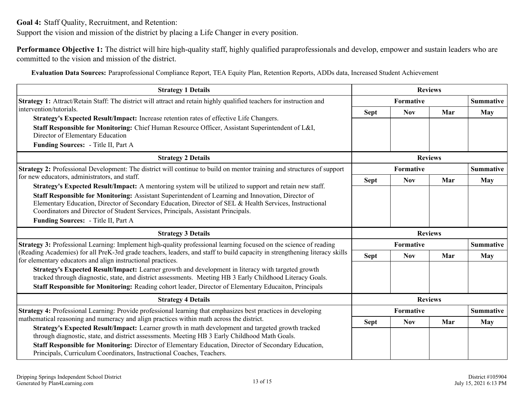<span id="page-12-0"></span>**Goal 4:** Staff Quality, Recruitment, and Retention:

Support the vision and mission of the district by placing a Life Changer in every position.

**Performance Objective 1:** The district will hire high-quality staff, highly qualified paraprofessionals and develop, empower and sustain leaders who are committed to the vision and mission of the district.

**Evaluation Data Sources:** Paraprofessional Compliance Report, TEA Equity Plan, Retention Reports, ADDs data, Increased Student Achievement

| <b>Strategy 1 Details</b>                                                                                                                                                                                                                                                                                                                |             | <b>Reviews</b> |                |                  |
|------------------------------------------------------------------------------------------------------------------------------------------------------------------------------------------------------------------------------------------------------------------------------------------------------------------------------------------|-------------|----------------|----------------|------------------|
| <b>Strategy 1:</b> Attract/Retain Staff: The district will attract and retain highly qualified teachers for instruction and                                                                                                                                                                                                              |             | Formative      |                | <b>Summative</b> |
| intervention/tutorials.                                                                                                                                                                                                                                                                                                                  | <b>Sept</b> | <b>Nov</b>     | Mar            | May              |
| Strategy's Expected Result/Impact: Increase retention rates of effective Life Changers.<br>Staff Responsible for Monitoring: Chief Human Resource Officer, Assistant Superintendent of L&I,<br>Director of Elementary Education<br>Funding Sources: - Title II, Part A                                                                   |             |                |                |                  |
| <b>Strategy 2 Details</b>                                                                                                                                                                                                                                                                                                                |             |                | <b>Reviews</b> |                  |
| <b>Strategy 2:</b> Professional Development: The district will continue to build on mentor training and structures of support                                                                                                                                                                                                            |             | Formative      |                | <b>Summative</b> |
| for new educators, administrators, and staff.<br><b>Strategy's Expected Result/Impact:</b> A mentoring system will be utilized to support and retain new staff.                                                                                                                                                                          | <b>Sept</b> | <b>Nov</b>     | Mar            | <b>May</b>       |
| Staff Responsible for Monitoring: Assistant Superintendent of Learning and Innovation, Director of<br>Elementary Education, Director of Secondary Education, Director of SEL & Health Services, Instructional<br>Coordinators and Director of Student Services, Principals, Assistant Principals.<br>Funding Sources: - Title II, Part A |             |                |                |                  |
| <b>Strategy 3 Details</b>                                                                                                                                                                                                                                                                                                                |             |                | <b>Reviews</b> |                  |
| <b>Strategy 3:</b> Professional Learning: Implement high-quality professional learning focused on the science of reading                                                                                                                                                                                                                 |             | Formative      |                | <b>Summative</b> |
| (Reading Academies) for all PreK-3rd grade teachers, leaders, and staff to build capacity in strengthening literacy skills<br>for elementary educators and align instructional practices.                                                                                                                                                | <b>Sept</b> | <b>Nov</b>     | Mar            | May              |
| Strategy's Expected Result/Impact: Learner growth and development in literacy with targeted growth<br>tracked through diagnostic, state, and district assessments. Meeting HB 3 Early Childhood Literacy Goals.<br>Staff Responsible for Monitoring: Reading cohort leader, Director of Elementary Educaiton, Principals                 |             |                |                |                  |
| <b>Strategy 4 Details</b>                                                                                                                                                                                                                                                                                                                |             |                | <b>Reviews</b> |                  |
| <b>Strategy 4:</b> Professional Learning: Provide professional learning that emphasizes best practices in developing                                                                                                                                                                                                                     |             | Formative      |                | <b>Summative</b> |
| mathematical reasoning and numeracy and align practices within math across the district.                                                                                                                                                                                                                                                 | <b>Sept</b> | <b>Nov</b>     | Mar            | May              |
| Strategy's Expected Result/Impact: Learner growth in math development and targeted growth tracked<br>through diagnostic, state, and district assessments. Meeting HB 3 Early Childhood Math Goals.                                                                                                                                       |             |                |                |                  |
| Staff Responsible for Monitoring: Director of Elementary Education, Director of Secondary Education,<br>Principals, Curriculum Coordinators, Instructional Coaches, Teachers.                                                                                                                                                            |             |                |                |                  |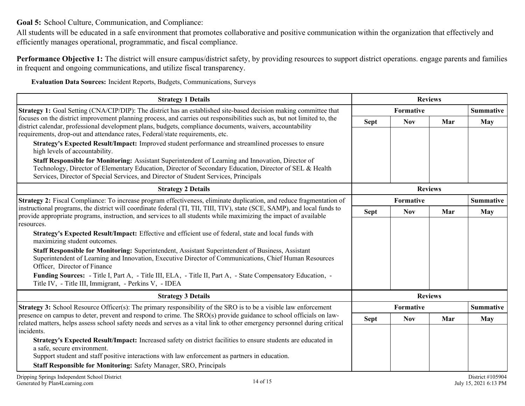<span id="page-13-0"></span>**Goal 5:** School Culture, Communication, and Compliance:

All students will be educated in a safe environment that promotes collaborative and positive communication within the organization that effectively and efficiently manages operational, programmatic, and fiscal compliance.

**Performance Objective 1:** The district will ensure campus/district safety, by providing resources to support district operations. engage parents and families in frequent and ongoing communications, and utilize fiscal transparency.

**Evaluation Data Sources:** Incident Reports, Budgets, Communications, Surveys

| <b>Strategy 1 Details</b>                                                                                                                                                                                                                                                                                                                                                                                                                         | <b>Reviews</b>   |            |     |                                           |
|---------------------------------------------------------------------------------------------------------------------------------------------------------------------------------------------------------------------------------------------------------------------------------------------------------------------------------------------------------------------------------------------------------------------------------------------------|------------------|------------|-----|-------------------------------------------|
| <b>Strategy 1:</b> Goal Setting (CNA/CIP/DIP): The district has an established site-based decision making committee that<br>focuses on the district improvement planning process, and carries out responsibilities such as, but not limited to, the<br>district calendar, professional development plans, budgets, compliance documents, waivers, accountability<br>requirements, drop-out and attendance rates, Federal/state requirements, etc. | <b>Formative</b> |            |     | <b>Summative</b>                          |
|                                                                                                                                                                                                                                                                                                                                                                                                                                                   | <b>Sept</b>      | <b>Nov</b> | Mar | May                                       |
| Strategy's Expected Result/Impact: Improved student performance and streamlined processes to ensure<br>high levels of accountability.                                                                                                                                                                                                                                                                                                             |                  |            |     |                                           |
| Staff Responsible for Monitoring: Assistant Superintendent of Learning and Innovation, Director of<br>Technology, Director of Elementary Education, Director of Secondary Education, Director of SEL & Health<br>Services, Director of Special Services, and Director of Student Services, Principals                                                                                                                                             |                  |            |     |                                           |
| <b>Strategy 2 Details</b>                                                                                                                                                                                                                                                                                                                                                                                                                         | <b>Reviews</b>   |            |     |                                           |
| Strategy 2: Fiscal Compliance: To increase program effectiveness, eliminate duplication, and reduce fragmentation of<br>instructional programs, the district will coordinate federal (TI, TII, TIII, TIV), state (SCE, SAMP), and local funds to<br>provide appropriate programs, instruction, and services to all students while maximizing the impact of available                                                                              | <b>Formative</b> |            |     | <b>Summative</b>                          |
|                                                                                                                                                                                                                                                                                                                                                                                                                                                   | <b>Sept</b>      | <b>Nov</b> | Mar | <b>May</b>                                |
| resources.                                                                                                                                                                                                                                                                                                                                                                                                                                        |                  |            |     |                                           |
| Strategy's Expected Result/Impact: Effective and efficient use of federal, state and local funds with<br>maximizing student outcomes.                                                                                                                                                                                                                                                                                                             |                  |            |     |                                           |
| Staff Responsible for Monitoring: Superintendent, Assistant Superintendent of Business, Assistant<br>Superintendent of Learning and Innovation, Executive Director of Communications, Chief Human Resources<br>Officer, Director of Finance                                                                                                                                                                                                       |                  |            |     |                                           |
| Funding Sources: - Title I, Part A, - Title III, ELA, - Title II, Part A, - State Compensatory Education, -<br>Title IV, - Title III, Immigrant, - Perkins V, - IDEA                                                                                                                                                                                                                                                                              |                  |            |     |                                           |
| <b>Strategy 3 Details</b>                                                                                                                                                                                                                                                                                                                                                                                                                         | <b>Reviews</b>   |            |     |                                           |
| <b>Strategy 3:</b> School Resource Officer(s): The primary responsibility of the SRO is to be a visible law enforcement                                                                                                                                                                                                                                                                                                                           | <b>Formative</b> |            |     | <b>Summative</b>                          |
| presence on campus to deter, prevent and respond to crime. The SRO(s) provide guidance to school officials on law-<br>related matters, helps assess school safety needs and serves as a vital link to other emergency personnel during critical                                                                                                                                                                                                   | <b>Sept</b>      | <b>Nov</b> | Mar | May                                       |
| incidents.                                                                                                                                                                                                                                                                                                                                                                                                                                        |                  |            |     |                                           |
| Strategy's Expected Result/Impact: Increased safety on district facilities to ensure students are educated in<br>a safe, secure environment.                                                                                                                                                                                                                                                                                                      |                  |            |     |                                           |
| Support student and staff positive interactions with law enforcement as partners in education.                                                                                                                                                                                                                                                                                                                                                    |                  |            |     |                                           |
| Staff Responsible for Monitoring: Safety Manager, SRO, Principals                                                                                                                                                                                                                                                                                                                                                                                 |                  |            |     |                                           |
| Dripping Springs Independent School District<br>14 of 15<br>Generated by Plan4Learning.com                                                                                                                                                                                                                                                                                                                                                        |                  |            |     | District #105904<br>July 15, 2021 6:13 PM |